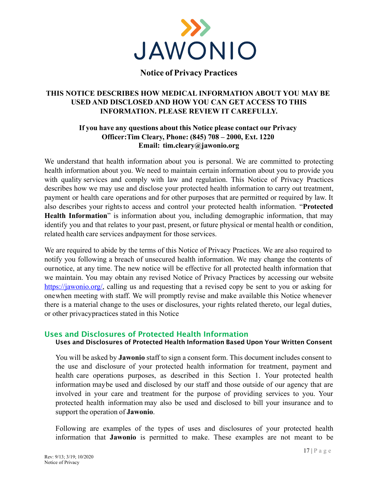

## **Notice of Privacy Practices**

## **THIS NOTICE DESCRIBES HOW MEDICAL INFORMATION ABOUT YOU MAY BE USED AND DISCLOSED AND HOW YOU CAN GET ACCESS TO THIS INFORMATION. PLEASE REVIEW IT CAREFULLY.**

## **If you have any questions about this Notice please contact our Privacy Officer:Tim Cleary, Phone: (845) 708 – 2000, Ext. 1220 Email: [tim.cleary@jawonio.org](mailto:tim.cleary@jawonio.org)**

We understand that health information about you is personal. We are committed to protecting health information about you. We need to maintain certain information about you to provide you with quality services and comply with law and regulation. This Notice of Privacy Practices describes how we may use and disclose your protected health information to carry out treatment, payment or health care operations and for other purposes that are permitted or required by law. It also describes your rightsto access and control your protected health information. "**Protected Health Information**" is information about you, including demographic information, that may identify you and that relates to your past, present, or future physical or mental health or condition, related health care services andpayment for those services.

We are required to abide by the terms of this Notice of Privacy Practices. We are also required to notify you following a breach of unsecured health information. We may change the contents of ournotice, at any time. The new notice will be effective for all protected health information that we maintain. You may obtain any revised Notice of Privacy Practices by accessing our website [https://jawonio.org/,](https://jawonio.org/) calling us and requesting that a revised copy be sent to you or asking for onewhen meeting with staff. We will promptly revise and make available this Notice whenever there is a material change to the uses or disclosures, your rights related thereto, our legal duties, or other privacypractices stated in this Notice

## **Uses and Disclosures of Protected Health Information**

#### **Uses and Disclosures of Protected Health Information Based Upon Your Written Consent**

You will be asked by **Jawonio** staff to sign a consent form. This document includes consent to the use and disclosure of your protected health information for treatment, payment and health care operations purposes, as described in this Section 1. Your protected health information maybe used and disclosed by our staff and those outside of our agency that are involved in your care and treatment for the purpose of providing services to you. Your protected health information may also be used and disclosed to bill your insurance and to support the operation of **Jawonio**.

Following are examples of the types of uses and disclosures of your protected health information that **Jawonio** is permitted to make. These examples are not meant to be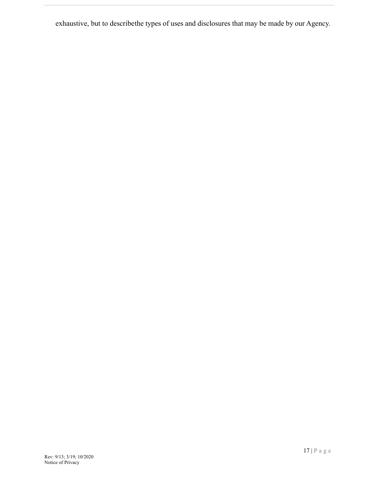exhaustive, but to describethe types of uses and disclosures that may be made by our Agency.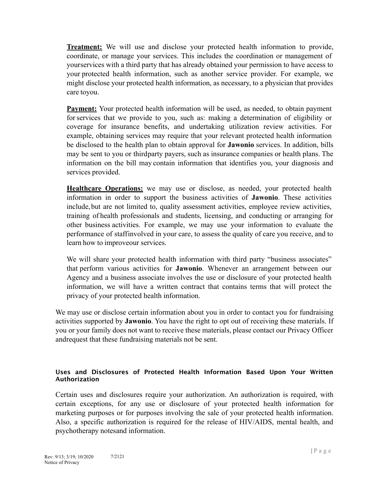**Treatment:** We will use and disclose your protected health information to provide, coordinate, or manage your services. This includes the coordination or management of yourservices with a third party that has already obtained your permission to have access to your protected health information, such as another service provider. For example, we might disclose your protected health information, as necessary, to a physician that provides care toyou.

**Payment:** Your protected health information will be used, as needed, to obtain payment forservices that we provide to you, such as: making a determination of eligibility or coverage for insurance benefits, and undertaking utilization review activities. For example, obtaining services may require that your relevant protected health information be disclosed to the health plan to obtain approval for **Jawonio** services. In addition, bills may be sent to you or thirdparty payers, such as insurance companies or health plans. The information on the bill may contain information that identifies you, your diagnosis and services provided.

**Healthcare Operations:** we may use or disclose, as needed, your protected health information in order to support the business activities of **Jawonio**. These activities include,but are not limited to, quality assessment activities, employee review activities, training of health professionals and students, licensing, and conducting or arranging for other business activities. For example, we may use your information to evaluate the performance of staffinvolved in your care, to assess the quality of care you receive, and to learn how to improveour services.

We will share your protected health information with third party "business associates" that perform various activities for **Jawonio**. Whenever an arrangement between our Agency and a business associate involves the use or disclosure of your protected health information, we will have a written contract that contains terms that will protect the privacy of your protected health information.

We may use or disclose certain information about you in order to contact you for fundraising activities supported by **Jawonio**. You have the right to opt out of receiving these materials. If you or your family does not want to receive these materials, please contact our Privacy Officer andrequest that these fundraising materials not be sent.

#### **Uses and Disclosures of Protected Health Information Based Upon Your Written Authorization**

Certain uses and disclosures require your authorization. An authorization is required, with certain exceptions, for any use or disclosure of your protected health information for marketing purposes or for purposes involving the sale of your protected health information. Also, a specific authorization is required for the release of HIV/AIDS, mental health, and psychotherapy notesand information.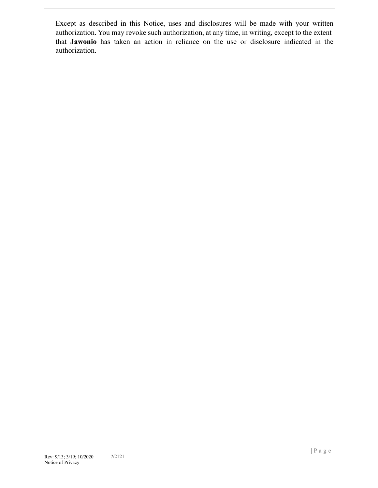Except as described in this Notice, uses and disclosures will be made with your written authorization. You may revoke such authorization, at any time, in writing, except to the extent that **Jawonio** has taken an action in reliance on the use or disclosure indicated in the authorization.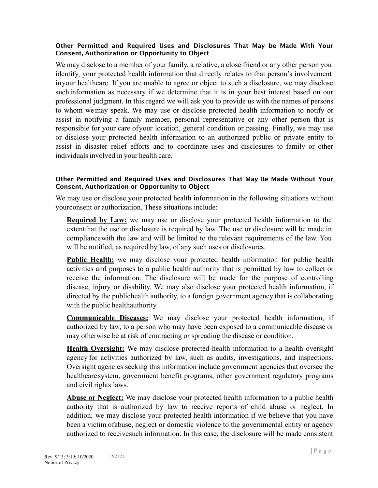#### **Other Permitted and Required Uses and Disclosures That May be Made With Your Consent, Authorization or Opportunity to Object**

We may disclose to a member of your family, a relative, a close friend or any other person you identify, your protected health information that directly relates to that person's involvement inyour healthcare. If you are unable to agree or object to such a disclosure, we may disclose such information as necessary if we determine that it is in your best interest based on our professional judgment. In this regard we will ask you to provide us with the names of persons to whom wemay speak. We may use or disclose protected health information to notify or assist in notifying a family member, personal representative or any other person that is responsible for your care ofyour location, general condition or passing. Finally, we may use or disclose your protected health information to an authorized public or private entity to assist in disaster relief efforts and to coordinate uses and disclosures to family or other individuals involved in your health care.

#### **Other Permitted and Required Uses and Disclosures That May Be Made Without Your Consent, Authorization or Opportunity to Object**

We may use or disclose your protected health information in the following situations without yourconsent or authorization. These situations include:

**Required by Law:** we may use or disclose your protected health information to the extentthat the use or disclosure is required by law. The use or disclosure will be made in compliancewith the law and will be limited to the relevant requirements of the law. You will be notified, as required by law, of any such uses or disclosures.

**Public Health:** we may disclose your protected health information for public health activities and purposes to a public health authority that is permitted by law to collect or receive the information. The disclosure will be made for the purpose of controlling disease, injury or disability. We may also disclose your protected health information, if directed by the publichealth authority, to a foreign government agency that is collaborating with the public healthauthority.

**Communicable Diseases:** We may disclose your protected health information, if authorized by law, to a person who may have been exposed to a communicable disease or may otherwise be at risk of contracting or spreading the disease or condition.

**Health Oversight:** We may disclose protected health information to a health oversight agency for activities authorized by law, such as audits, investigations, and inspections. Oversight agencies seeking this information include government agencies that oversee the healthcare system, government benefit programs, other government regulatory programs and civil rights laws.

**Abuse or Neglect:** We may disclose your protected health information to a public health authority that is authorized by law to receive reports of child abuse or neglect. In addition, we may disclose your protected health information if we believe that you have been a victim ofabuse, neglect or domestic violence to the governmental entity or agency authorized to receivesuch information. In this case, the disclosure will be made consistent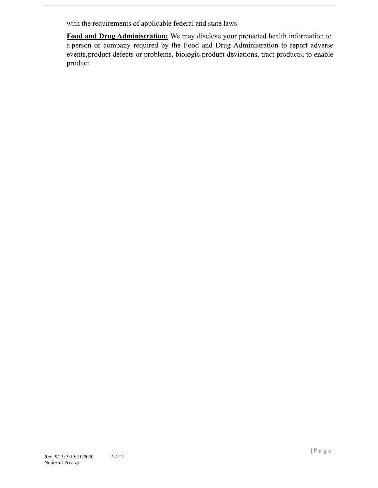with the requirements of applicable federal and state laws.

**Food and Drug Administration:** We may disclose your protected health information to a person or company required by the Food and Drug Administration to report adverse events,product defects or problems, biologic product deviations, tract products; to enable product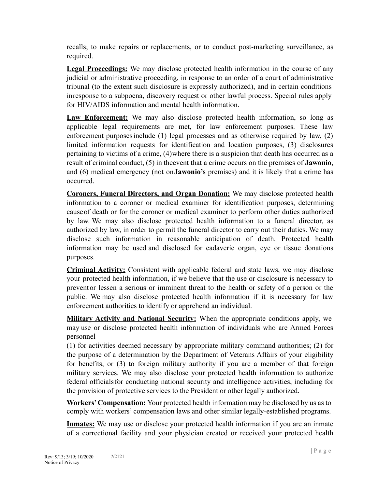recalls; to make repairs or replacements, or to conduct post-marketing surveillance, as required.

**Legal Proceedings:** We may disclose protected health information in the course of any judicial or administrative proceeding, in response to an order of a court of administrative tribunal (to the extent such disclosure is expressly authorized), and in certain conditions inresponse to a subpoena, discovery request or other lawful process. Special rules apply for HIV/AIDS information and mental health information.

**Law Enforcement:** We may also disclose protected health information, so long as applicable legal requirements are met, for law enforcement purposes. These law enforcement purposesinclude (1) legal processes and as otherwise required by law, (2) limited information requests for identification and location purposes, (3) disclosures pertaining to victims of a crime, (4)where there is a suspicion that death has occurred as a result of criminal conduct, (5) in theevent that a crime occurs on the premises of **Jawonio**, and (6) medical emergency (not on**Jawonio's** premises) and it is likely that a crime has occurred.

**Coroners, Funeral Directors, and Organ Donation:** We may disclose protected health information to a coroner or medical examiner for identification purposes, determining causeof death or for the coroner or medical examiner to perform other duties authorized by law. We may also disclose protected health information to a funeral director, as authorized by law, in order to permit the funeral director to carry out their duties. We may disclose such information in reasonable anticipation of death. Protected health information may be used and disclosed for cadaveric organ, eye or tissue donations purposes.

**Criminal Activity:** Consistent with applicable federal and state laws, we may disclose your protected health information, if we believe that the use or disclosure is necessary to preventor lessen a serious or imminent threat to the health or safety of a person or the public. We may also disclose protected health information if it is necessary for law enforcement authorities to identify or apprehend an individual.

**Military Activity and National Security:** When the appropriate conditions apply, we may use or disclose protected health information of individuals who are Armed Forces personnel

(1) for activities deemed necessary by appropriate military command authorities; (2) for the purpose of a determination by the Department of Veterans Affairs of your eligibility for benefits, or (3) to foreign military authority if you are a member of that foreign military services. We may also disclose your protected health information to authorize federal officialsfor conducting national security and intelligence activities, including for the provision of protective services to the President or other legally authorized.

**Workers'Compensation:** Your protected health information may be disclosed by us as to comply with workers' compensation laws and other similar legally-established programs.

**Inmates:** We may use or disclose your protected health information if you are an inmate of a correctional facility and your physician created or received your protected health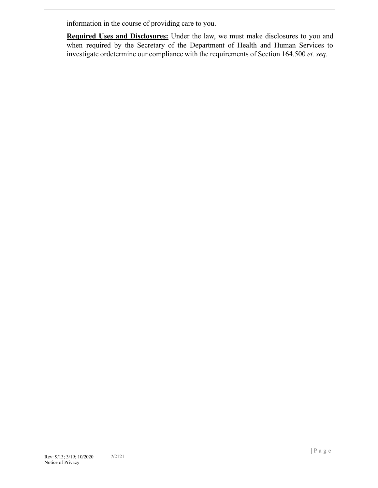information in the course of providing care to you.

**Required Uses and Disclosures:** Under the law, we must make disclosures to you and when required by the Secretary of the Department of Health and Human Services to investigate ordetermine our compliance with the requirements of Section 164.500 *et. seq.*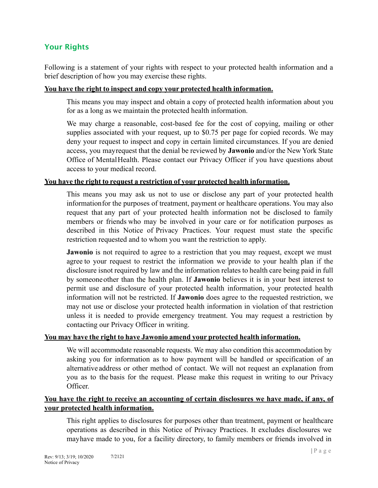# **Your Rights**

Following is a statement of your rights with respect to your protected health information and a brief description of how you may exercise these rights.

#### **You have the right to inspect and copy your protected health information.**

This means you may inspect and obtain a copy of protected health information about you for as a long as we maintain the protected health information.

We may charge a reasonable, cost-based fee for the cost of copying, mailing or other supplies associated with your request, up to \$0.75 per page for copied records. We may deny your request to inspect and copy in certain limited circumstances. If you are denied access, you mayrequest that the denial be reviewed by **Jawonio** and/or the New York State Office of MentalHealth. Please contact our Privacy Officer if you have questions about access to your medical record.

## **You have the right to request a restriction of your protected health information.**

This means you may ask us not to use or disclose any part of your protected health informationfor the purposes of treatment, payment or healthcare operations. You may also request that any part of your protected health information not be disclosed to family members or friends who may be involved in your care or for notification purposes as described in this Notice of Privacy Practices. Your request must state the specific restriction requested and to whom you want the restriction to apply.

**Jawonio** is not required to agree to a restriction that you may request, except we must agree to your request to restrict the information we provide to your health plan if the disclosure isnot required by law and the information relates to health care being paid in full by someoneother than the health plan. If **Jawonio** believes it is in your best interest to permit use and disclosure of your protected health information, your protected health information will not be restricted. If **Jawonio** does agree to the requested restriction, we may not use or disclose your protected health information in violation of that restriction unless it is needed to provide emergency treatment. You may request a restriction by contacting our Privacy Officer in writing.

## **You may have the right to have Jawonio amend your protected health information.**

We will accommodate reasonable requests. We may also condition this accommodation by asking you for information as to how payment will be handled or specification of an alternative address or other method of contact. We will not request an explanation from you as to the basis for the request. Please make this request in writing to our Privacy Officer.

## **You have the right to receive an accounting of certain disclosures we have made, if any, of your protected health information.**

This right applies to disclosures for purposes other than treatment, payment or healthcare operations as described in this Notice of Privacy Practices. It excludes disclosures we mayhave made to you, for a facility directory, to family members or friends involved in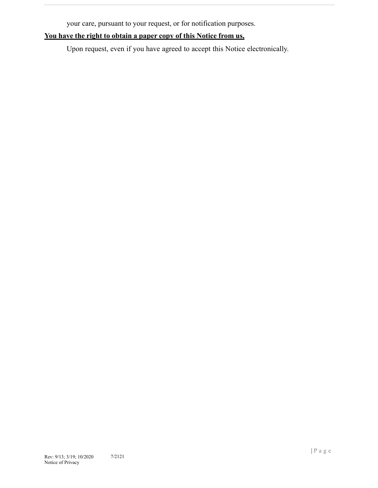your care, pursuant to your request, or for notification purposes.

## **You have the right to obtain a paper copy of this Notice from us,**

Upon request, even if you have agreed to accept this Notice electronically.